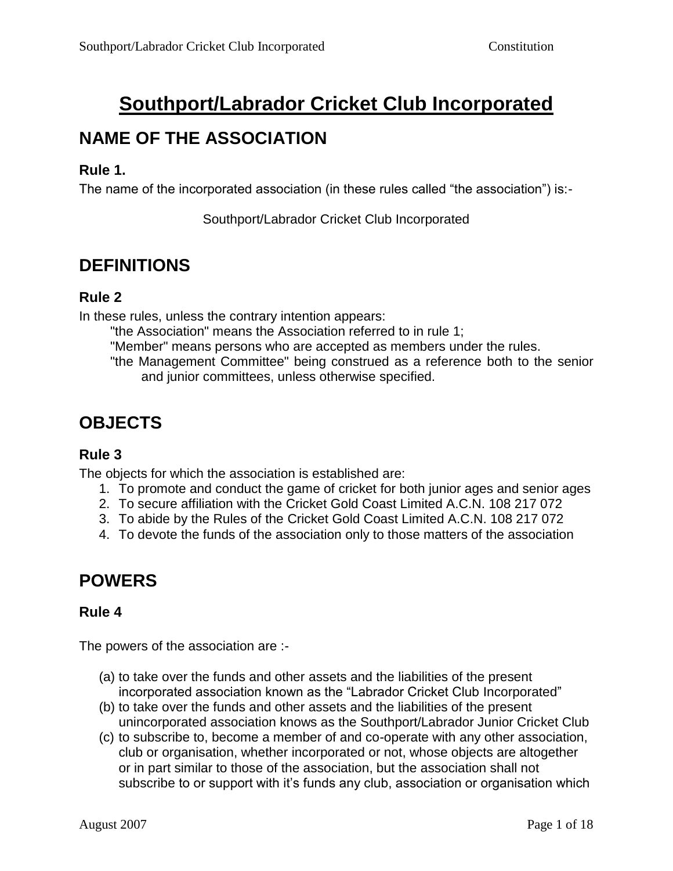# **Southport/Labrador Cricket Club Incorporated**

# **NAME OF THE ASSOCIATION**

#### **Rule 1.**

The name of the incorporated association (in these rules called "the association") is:-

Southport/Labrador Cricket Club Incorporated

### **DEFINITIONS**

#### **Rule 2**

In these rules, unless the contrary intention appears:

"the Association" means the Association referred to in rule 1;

"Member" means persons who are accepted as members under the rules.

"the Management Committee" being construed as a reference both to the senior and junior committees, unless otherwise specified.

# **OBJECTS**

### **Rule 3**

The objects for which the association is established are:

- 1. To promote and conduct the game of cricket for both junior ages and senior ages
- 2. To secure affiliation with the Cricket Gold Coast Limited A.C.N. 108 217 072
- 3. To abide by the Rules of the Cricket Gold Coast Limited A.C.N. 108 217 072
- 4. To devote the funds of the association only to those matters of the association

# **POWERS**

### **Rule 4**

The powers of the association are :-

- (a) to take over the funds and other assets and the liabilities of the present incorporated association known as the "Labrador Cricket Club Incorporated"
- (b) to take over the funds and other assets and the liabilities of the present unincorporated association knows as the Southport/Labrador Junior Cricket Club
- (c) to subscribe to, become a member of and co-operate with any other association, club or organisation, whether incorporated or not, whose objects are altogether or in part similar to those of the association, but the association shall not subscribe to or support with it's funds any club, association or organisation which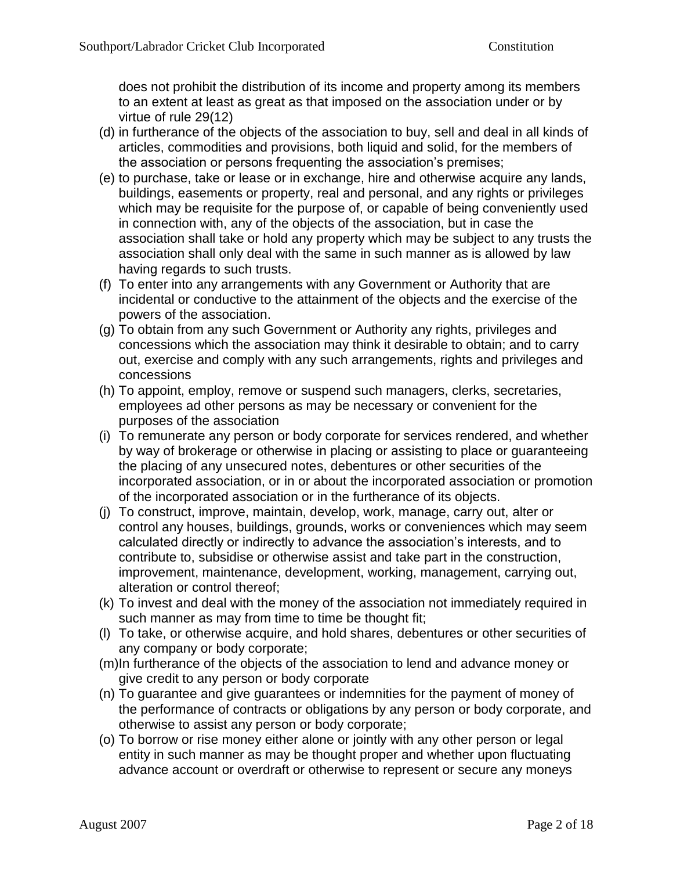does not prohibit the distribution of its income and property among its members to an extent at least as great as that imposed on the association under or by virtue of rule 29(12)

- (d) in furtherance of the objects of the association to buy, sell and deal in all kinds of articles, commodities and provisions, both liquid and solid, for the members of the association or persons frequenting the association's premises;
- (e) to purchase, take or lease or in exchange, hire and otherwise acquire any lands, buildings, easements or property, real and personal, and any rights or privileges which may be requisite for the purpose of, or capable of being conveniently used in connection with, any of the objects of the association, but in case the association shall take or hold any property which may be subject to any trusts the association shall only deal with the same in such manner as is allowed by law having regards to such trusts.
- (f) To enter into any arrangements with any Government or Authority that are incidental or conductive to the attainment of the objects and the exercise of the powers of the association.
- (g) To obtain from any such Government or Authority any rights, privileges and concessions which the association may think it desirable to obtain; and to carry out, exercise and comply with any such arrangements, rights and privileges and concessions
- (h) To appoint, employ, remove or suspend such managers, clerks, secretaries, employees ad other persons as may be necessary or convenient for the purposes of the association
- (i) To remunerate any person or body corporate for services rendered, and whether by way of brokerage or otherwise in placing or assisting to place or guaranteeing the placing of any unsecured notes, debentures or other securities of the incorporated association, or in or about the incorporated association or promotion of the incorporated association or in the furtherance of its objects.
- (j) To construct, improve, maintain, develop, work, manage, carry out, alter or control any houses, buildings, grounds, works or conveniences which may seem calculated directly or indirectly to advance the association's interests, and to contribute to, subsidise or otherwise assist and take part in the construction, improvement, maintenance, development, working, management, carrying out, alteration or control thereof;
- (k) To invest and deal with the money of the association not immediately required in such manner as may from time to time be thought fit;
- (l) To take, or otherwise acquire, and hold shares, debentures or other securities of any company or body corporate;
- (m)In furtherance of the objects of the association to lend and advance money or give credit to any person or body corporate
- (n) To guarantee and give guarantees or indemnities for the payment of money of the performance of contracts or obligations by any person or body corporate, and otherwise to assist any person or body corporate;
- (o) To borrow or rise money either alone or jointly with any other person or legal entity in such manner as may be thought proper and whether upon fluctuating advance account or overdraft or otherwise to represent or secure any moneys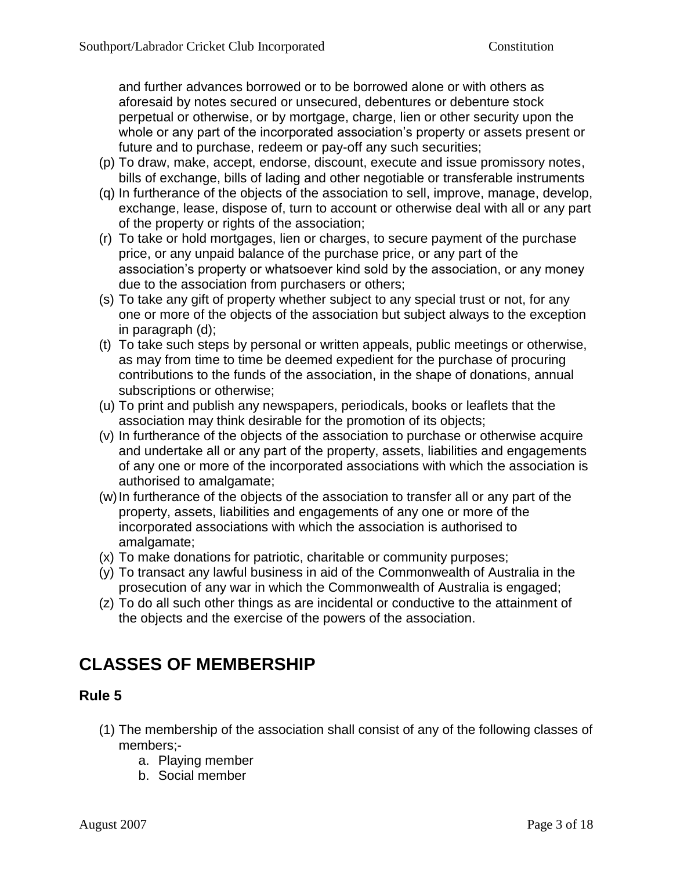and further advances borrowed or to be borrowed alone or with others as aforesaid by notes secured or unsecured, debentures or debenture stock perpetual or otherwise, or by mortgage, charge, lien or other security upon the whole or any part of the incorporated association's property or assets present or future and to purchase, redeem or pay-off any such securities;

- (p) To draw, make, accept, endorse, discount, execute and issue promissory notes, bills of exchange, bills of lading and other negotiable or transferable instruments
- (q) In furtherance of the objects of the association to sell, improve, manage, develop, exchange, lease, dispose of, turn to account or otherwise deal with all or any part of the property or rights of the association;
- (r) To take or hold mortgages, lien or charges, to secure payment of the purchase price, or any unpaid balance of the purchase price, or any part of the association's property or whatsoever kind sold by the association, or any money due to the association from purchasers or others;
- (s) To take any gift of property whether subject to any special trust or not, for any one or more of the objects of the association but subject always to the exception in paragraph (d);
- (t) To take such steps by personal or written appeals, public meetings or otherwise, as may from time to time be deemed expedient for the purchase of procuring contributions to the funds of the association, in the shape of donations, annual subscriptions or otherwise;
- (u) To print and publish any newspapers, periodicals, books or leaflets that the association may think desirable for the promotion of its objects;
- (v) In furtherance of the objects of the association to purchase or otherwise acquire and undertake all or any part of the property, assets, liabilities and engagements of any one or more of the incorporated associations with which the association is authorised to amalgamate;
- (w)In furtherance of the objects of the association to transfer all or any part of the property, assets, liabilities and engagements of any one or more of the incorporated associations with which the association is authorised to amalgamate;
- (x) To make donations for patriotic, charitable or community purposes;
- (y) To transact any lawful business in aid of the Commonwealth of Australia in the prosecution of any war in which the Commonwealth of Australia is engaged;
- (z) To do all such other things as are incidental or conductive to the attainment of the objects and the exercise of the powers of the association.

### **CLASSES OF MEMBERSHIP**

- (1) The membership of the association shall consist of any of the following classes of members;
	- a. Playing member
	- b. Social member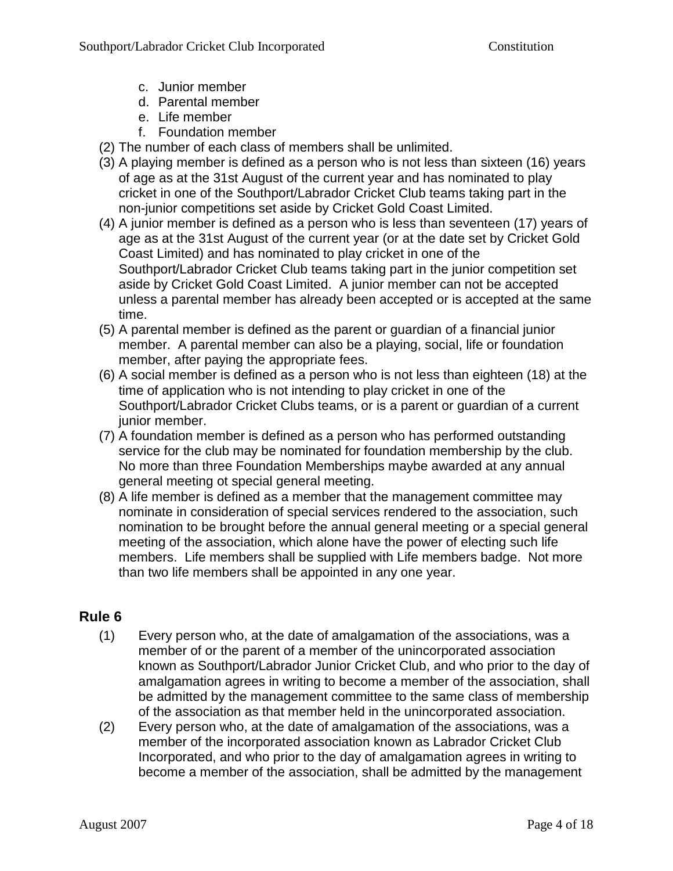- c. Junior member
- d. Parental member
- e. Life member
- f. Foundation member
- (2) The number of each class of members shall be unlimited.
- (3) A playing member is defined as a person who is not less than sixteen (16) years of age as at the 31st August of the current year and has nominated to play cricket in one of the Southport/Labrador Cricket Club teams taking part in the non-junior competitions set aside by Cricket Gold Coast Limited.
- (4) A junior member is defined as a person who is less than seventeen (17) years of age as at the 31st August of the current year (or at the date set by Cricket Gold Coast Limited) and has nominated to play cricket in one of the Southport/Labrador Cricket Club teams taking part in the junior competition set aside by Cricket Gold Coast Limited. A junior member can not be accepted unless a parental member has already been accepted or is accepted at the same time.
- (5) A parental member is defined as the parent or guardian of a financial junior member. A parental member can also be a playing, social, life or foundation member, after paying the appropriate fees.
- (6) A social member is defined as a person who is not less than eighteen (18) at the time of application who is not intending to play cricket in one of the Southport/Labrador Cricket Clubs teams, or is a parent or guardian of a current junior member.
- (7) A foundation member is defined as a person who has performed outstanding service for the club may be nominated for foundation membership by the club. No more than three Foundation Memberships maybe awarded at any annual general meeting ot special general meeting.
- (8) A life member is defined as a member that the management committee may nominate in consideration of special services rendered to the association, such nomination to be brought before the annual general meeting or a special general meeting of the association, which alone have the power of electing such life members. Life members shall be supplied with Life members badge. Not more than two life members shall be appointed in any one year.

- (1) Every person who, at the date of amalgamation of the associations, was a member of or the parent of a member of the unincorporated association known as Southport/Labrador Junior Cricket Club, and who prior to the day of amalgamation agrees in writing to become a member of the association, shall be admitted by the management committee to the same class of membership of the association as that member held in the unincorporated association.
- (2) Every person who, at the date of amalgamation of the associations, was a member of the incorporated association known as Labrador Cricket Club Incorporated, and who prior to the day of amalgamation agrees in writing to become a member of the association, shall be admitted by the management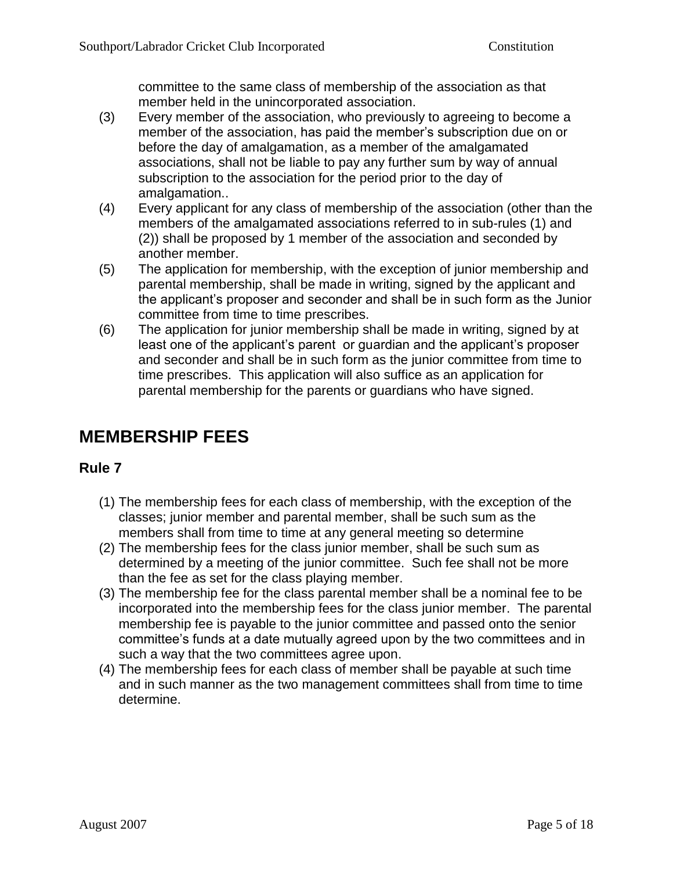committee to the same class of membership of the association as that member held in the unincorporated association.

- (3) Every member of the association, who previously to agreeing to become a member of the association, has paid the member's subscription due on or before the day of amalgamation, as a member of the amalgamated associations, shall not be liable to pay any further sum by way of annual subscription to the association for the period prior to the day of amalgamation..
- (4) Every applicant for any class of membership of the association (other than the members of the amalgamated associations referred to in sub-rules (1) and (2)) shall be proposed by 1 member of the association and seconded by another member.
- (5) The application for membership, with the exception of junior membership and parental membership, shall be made in writing, signed by the applicant and the applicant's proposer and seconder and shall be in such form as the Junior committee from time to time prescribes.
- (6) The application for junior membership shall be made in writing, signed by at least one of the applicant's parent or guardian and the applicant's proposer and seconder and shall be in such form as the junior committee from time to time prescribes. This application will also suffice as an application for parental membership for the parents or guardians who have signed.

# **MEMBERSHIP FEES**

- (1) The membership fees for each class of membership, with the exception of the classes; junior member and parental member, shall be such sum as the members shall from time to time at any general meeting so determine
- (2) The membership fees for the class junior member, shall be such sum as determined by a meeting of the junior committee. Such fee shall not be more than the fee as set for the class playing member.
- (3) The membership fee for the class parental member shall be a nominal fee to be incorporated into the membership fees for the class junior member. The parental membership fee is payable to the junior committee and passed onto the senior committee's funds at a date mutually agreed upon by the two committees and in such a way that the two committees agree upon.
- (4) The membership fees for each class of member shall be payable at such time and in such manner as the two management committees shall from time to time determine.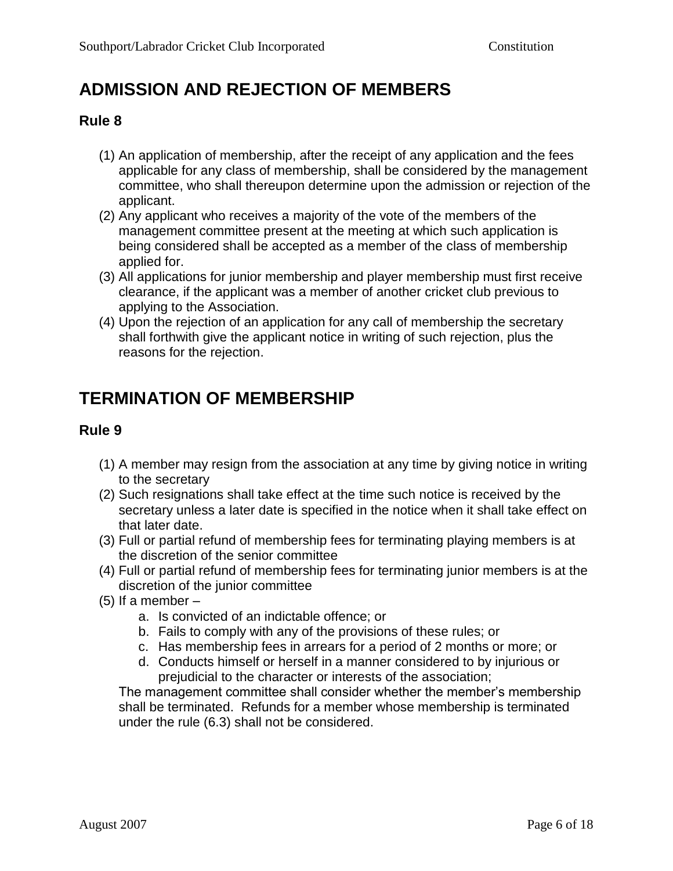# **ADMISSION AND REJECTION OF MEMBERS**

#### **Rule 8**

- (1) An application of membership, after the receipt of any application and the fees applicable for any class of membership, shall be considered by the management committee, who shall thereupon determine upon the admission or rejection of the applicant.
- (2) Any applicant who receives a majority of the vote of the members of the management committee present at the meeting at which such application is being considered shall be accepted as a member of the class of membership applied for.
- (3) All applications for junior membership and player membership must first receive clearance, if the applicant was a member of another cricket club previous to applying to the Association.
- (4) Upon the rejection of an application for any call of membership the secretary shall forthwith give the applicant notice in writing of such rejection, plus the reasons for the rejection.

## **TERMINATION OF MEMBERSHIP**

#### **Rule 9**

- (1) A member may resign from the association at any time by giving notice in writing to the secretary
- (2) Such resignations shall take effect at the time such notice is received by the secretary unless a later date is specified in the notice when it shall take effect on that later date.
- (3) Full or partial refund of membership fees for terminating playing members is at the discretion of the senior committee
- (4) Full or partial refund of membership fees for terminating junior members is at the discretion of the junior committee
- $(5)$  If a member  $$ 
	- a. Is convicted of an indictable offence; or
	- b. Fails to comply with any of the provisions of these rules; or
	- c. Has membership fees in arrears for a period of 2 months or more; or
	- d. Conducts himself or herself in a manner considered to by injurious or prejudicial to the character or interests of the association;

The management committee shall consider whether the member's membership shall be terminated. Refunds for a member whose membership is terminated under the rule (6.3) shall not be considered.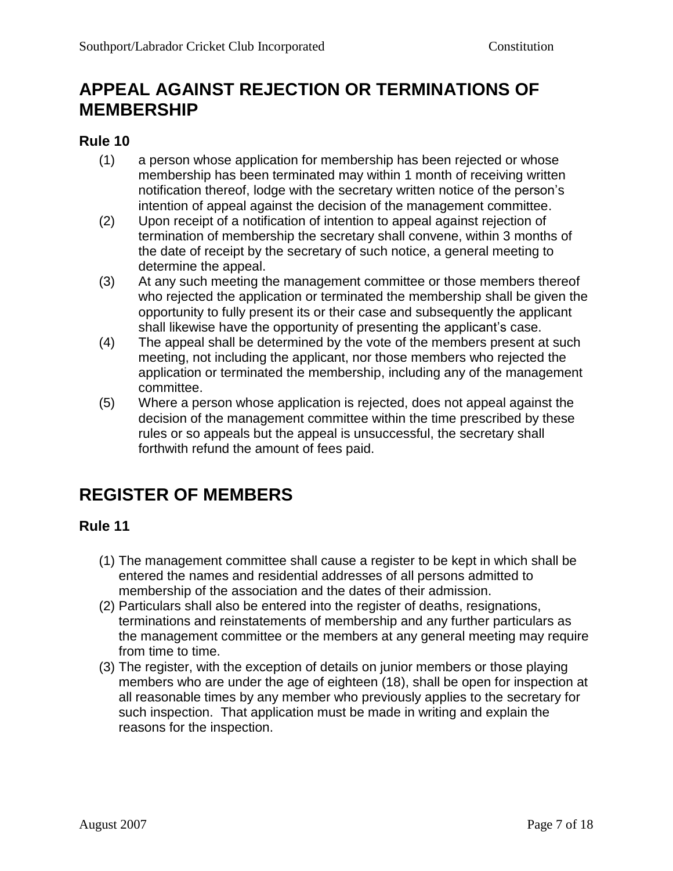## **APPEAL AGAINST REJECTION OR TERMINATIONS OF MEMBERSHIP**

#### **Rule 10**

- (1) a person whose application for membership has been rejected or whose membership has been terminated may within 1 month of receiving written notification thereof, lodge with the secretary written notice of the person's intention of appeal against the decision of the management committee.
- (2) Upon receipt of a notification of intention to appeal against rejection of termination of membership the secretary shall convene, within 3 months of the date of receipt by the secretary of such notice, a general meeting to determine the appeal.
- (3) At any such meeting the management committee or those members thereof who rejected the application or terminated the membership shall be given the opportunity to fully present its or their case and subsequently the applicant shall likewise have the opportunity of presenting the applicant's case.
- (4) The appeal shall be determined by the vote of the members present at such meeting, not including the applicant, nor those members who rejected the application or terminated the membership, including any of the management committee.
- (5) Where a person whose application is rejected, does not appeal against the decision of the management committee within the time prescribed by these rules or so appeals but the appeal is unsuccessful, the secretary shall forthwith refund the amount of fees paid.

# **REGISTER OF MEMBERS**

- (1) The management committee shall cause a register to be kept in which shall be entered the names and residential addresses of all persons admitted to membership of the association and the dates of their admission.
- (2) Particulars shall also be entered into the register of deaths, resignations, terminations and reinstatements of membership and any further particulars as the management committee or the members at any general meeting may require from time to time.
- (3) The register, with the exception of details on junior members or those playing members who are under the age of eighteen (18), shall be open for inspection at all reasonable times by any member who previously applies to the secretary for such inspection. That application must be made in writing and explain the reasons for the inspection.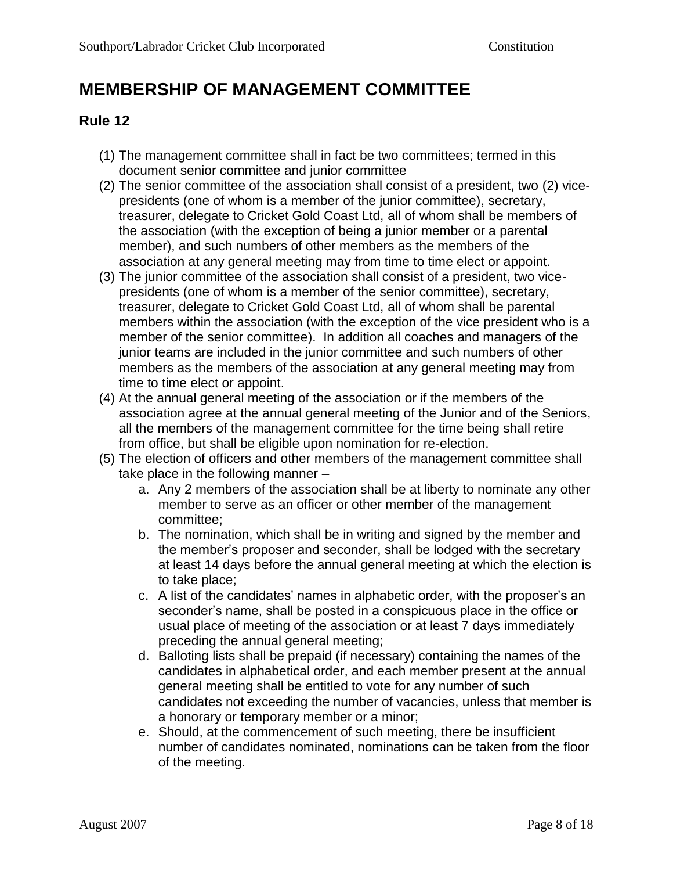# **MEMBERSHIP OF MANAGEMENT COMMITTEE**

- (1) The management committee shall in fact be two committees; termed in this document senior committee and junior committee
- (2) The senior committee of the association shall consist of a president, two (2) vicepresidents (one of whom is a member of the junior committee), secretary, treasurer, delegate to Cricket Gold Coast Ltd, all of whom shall be members of the association (with the exception of being a junior member or a parental member), and such numbers of other members as the members of the association at any general meeting may from time to time elect or appoint.
- (3) The junior committee of the association shall consist of a president, two vicepresidents (one of whom is a member of the senior committee), secretary, treasurer, delegate to Cricket Gold Coast Ltd, all of whom shall be parental members within the association (with the exception of the vice president who is a member of the senior committee). In addition all coaches and managers of the junior teams are included in the junior committee and such numbers of other members as the members of the association at any general meeting may from time to time elect or appoint.
- (4) At the annual general meeting of the association or if the members of the association agree at the annual general meeting of the Junior and of the Seniors, all the members of the management committee for the time being shall retire from office, but shall be eligible upon nomination for re-election.
- (5) The election of officers and other members of the management committee shall take place in the following manner –
	- a. Any 2 members of the association shall be at liberty to nominate any other member to serve as an officer or other member of the management committee;
	- b. The nomination, which shall be in writing and signed by the member and the member's proposer and seconder, shall be lodged with the secretary at least 14 days before the annual general meeting at which the election is to take place;
	- c. A list of the candidates' names in alphabetic order, with the proposer's an seconder's name, shall be posted in a conspicuous place in the office or usual place of meeting of the association or at least 7 days immediately preceding the annual general meeting;
	- d. Balloting lists shall be prepaid (if necessary) containing the names of the candidates in alphabetical order, and each member present at the annual general meeting shall be entitled to vote for any number of such candidates not exceeding the number of vacancies, unless that member is a honorary or temporary member or a minor;
	- e. Should, at the commencement of such meeting, there be insufficient number of candidates nominated, nominations can be taken from the floor of the meeting.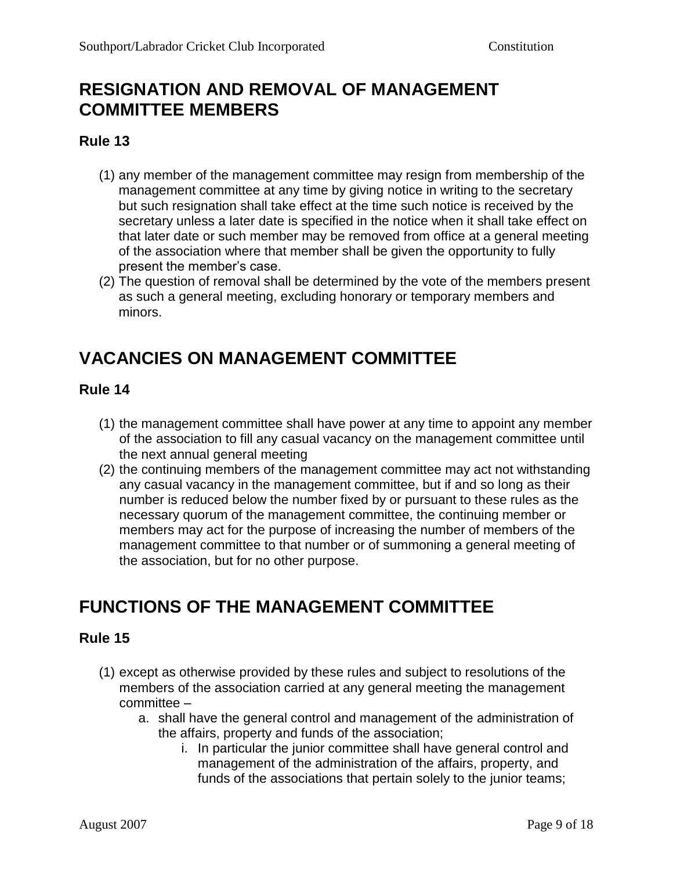### **RESIGNATION AND REMOVAL OF MANAGEMENT COMMITTEE MEMBERS**

#### **Rule 13**

- (1) any member of the management committee may resign from membership of the management committee at any time by giving notice in writing to the secretary but such resignation shall take effect at the time such notice is received by the secretary unless a later date is specified in the notice when it shall take effect on that later date or such member may be removed from office at a general meeting of the association where that member shall be given the opportunity to fully present the member's case.
- (2) The question of removal shall be determined by the vote of the members present as such a general meeting, excluding honorary or temporary members and minors.

# **VACANCIES ON MANAGEMENT COMMITTEE**

#### **Rule 14**

- (1) the management committee shall have power at any time to appoint any member of the association to fill any casual vacancy on the management committee until the next annual general meeting
- (2) the continuing members of the management committee may act not withstanding any casual vacancy in the management committee, but if and so long as their number is reduced below the number fixed by or pursuant to these rules as the necessary quorum of the management committee, the continuing member or members may act for the purpose of increasing the number of members of the management committee to that number or of summoning a general meeting of the association, but for no other purpose.

# **FUNCTIONS OF THE MANAGEMENT COMMITTEE**

- (1) except as otherwise provided by these rules and subject to resolutions of the members of the association carried at any general meeting the management committee –
	- a. shall have the general control and management of the administration of the affairs, property and funds of the association;
		- i. In particular the junior committee shall have general control and management of the administration of the affairs, property, and funds of the associations that pertain solely to the junior teams;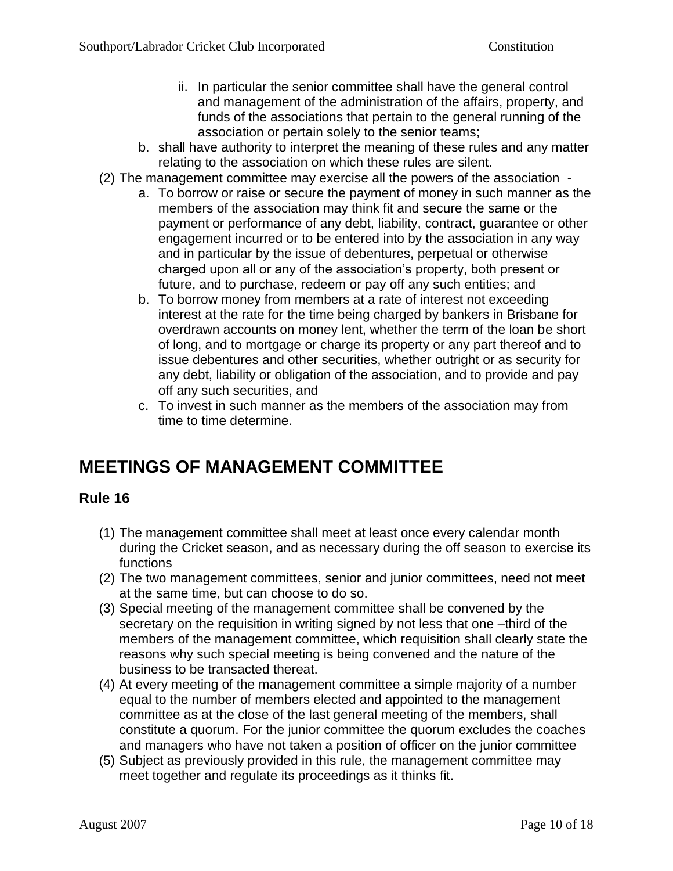- ii. In particular the senior committee shall have the general control and management of the administration of the affairs, property, and funds of the associations that pertain to the general running of the association or pertain solely to the senior teams;
- b. shall have authority to interpret the meaning of these rules and any matter relating to the association on which these rules are silent.
- (2) The management committee may exercise all the powers of the association
	- a. To borrow or raise or secure the payment of money in such manner as the members of the association may think fit and secure the same or the payment or performance of any debt, liability, contract, guarantee or other engagement incurred or to be entered into by the association in any way and in particular by the issue of debentures, perpetual or otherwise charged upon all or any of the association's property, both present or future, and to purchase, redeem or pay off any such entities; and
	- b. To borrow money from members at a rate of interest not exceeding interest at the rate for the time being charged by bankers in Brisbane for overdrawn accounts on money lent, whether the term of the loan be short of long, and to mortgage or charge its property or any part thereof and to issue debentures and other securities, whether outright or as security for any debt, liability or obligation of the association, and to provide and pay off any such securities, and
	- c. To invest in such manner as the members of the association may from time to time determine.

# **MEETINGS OF MANAGEMENT COMMITTEE**

- (1) The management committee shall meet at least once every calendar month during the Cricket season, and as necessary during the off season to exercise its functions
- (2) The two management committees, senior and junior committees, need not meet at the same time, but can choose to do so.
- (3) Special meeting of the management committee shall be convened by the secretary on the requisition in writing signed by not less that one –third of the members of the management committee, which requisition shall clearly state the reasons why such special meeting is being convened and the nature of the business to be transacted thereat.
- (4) At every meeting of the management committee a simple majority of a number equal to the number of members elected and appointed to the management committee as at the close of the last general meeting of the members, shall constitute a quorum. For the junior committee the quorum excludes the coaches and managers who have not taken a position of officer on the junior committee
- (5) Subject as previously provided in this rule, the management committee may meet together and regulate its proceedings as it thinks fit.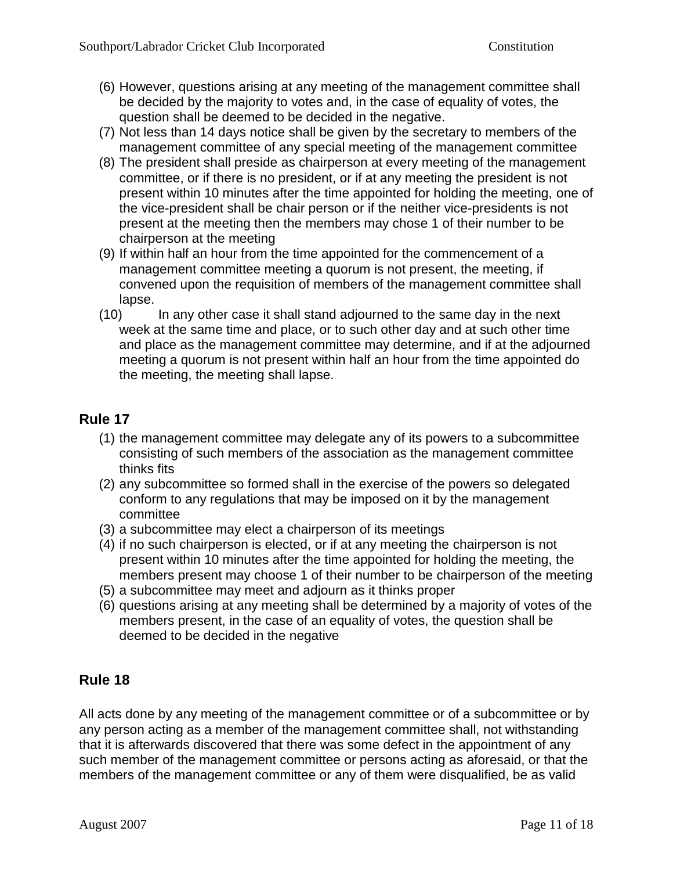- (6) However, questions arising at any meeting of the management committee shall be decided by the majority to votes and, in the case of equality of votes, the question shall be deemed to be decided in the negative.
- (7) Not less than 14 days notice shall be given by the secretary to members of the management committee of any special meeting of the management committee
- (8) The president shall preside as chairperson at every meeting of the management committee, or if there is no president, or if at any meeting the president is not present within 10 minutes after the time appointed for holding the meeting, one of the vice-president shall be chair person or if the neither vice-presidents is not present at the meeting then the members may chose 1 of their number to be chairperson at the meeting
- (9) If within half an hour from the time appointed for the commencement of a management committee meeting a quorum is not present, the meeting, if convened upon the requisition of members of the management committee shall lapse.
- (10) In any other case it shall stand adjourned to the same day in the next week at the same time and place, or to such other day and at such other time and place as the management committee may determine, and if at the adjourned meeting a quorum is not present within half an hour from the time appointed do the meeting, the meeting shall lapse.

- (1) the management committee may delegate any of its powers to a subcommittee consisting of such members of the association as the management committee thinks fits
- (2) any subcommittee so formed shall in the exercise of the powers so delegated conform to any regulations that may be imposed on it by the management committee
- (3) a subcommittee may elect a chairperson of its meetings
- (4) if no such chairperson is elected, or if at any meeting the chairperson is not present within 10 minutes after the time appointed for holding the meeting, the members present may choose 1 of their number to be chairperson of the meeting
- (5) a subcommittee may meet and adjourn as it thinks proper
- (6) questions arising at any meeting shall be determined by a majority of votes of the members present, in the case of an equality of votes, the question shall be deemed to be decided in the negative

### **Rule 18**

All acts done by any meeting of the management committee or of a subcommittee or by any person acting as a member of the management committee shall, not withstanding that it is afterwards discovered that there was some defect in the appointment of any such member of the management committee or persons acting as aforesaid, or that the members of the management committee or any of them were disqualified, be as valid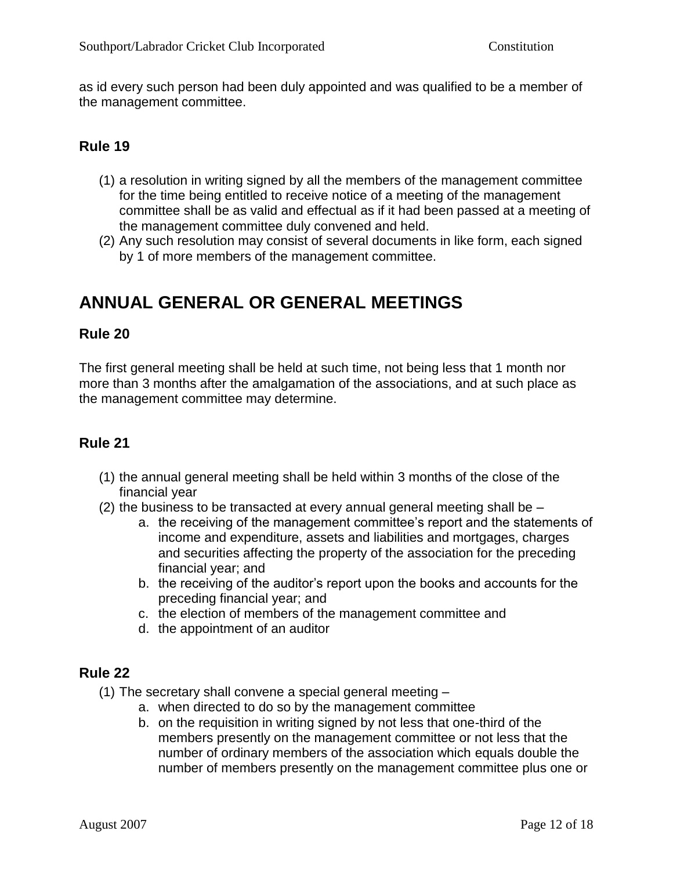as id every such person had been duly appointed and was qualified to be a member of the management committee.

#### **Rule 19**

- (1) a resolution in writing signed by all the members of the management committee for the time being entitled to receive notice of a meeting of the management committee shall be as valid and effectual as if it had been passed at a meeting of the management committee duly convened and held.
- (2) Any such resolution may consist of several documents in like form, each signed by 1 of more members of the management committee.

## **ANNUAL GENERAL OR GENERAL MEETINGS**

#### **Rule 20**

The first general meeting shall be held at such time, not being less that 1 month nor more than 3 months after the amalgamation of the associations, and at such place as the management committee may determine.

#### **Rule 21**

- (1) the annual general meeting shall be held within 3 months of the close of the financial year
- (2) the business to be transacted at every annual general meeting shall be
	- a. the receiving of the management committee's report and the statements of income and expenditure, assets and liabilities and mortgages, charges and securities affecting the property of the association for the preceding financial year; and
	- b. the receiving of the auditor's report upon the books and accounts for the preceding financial year; and
	- c. the election of members of the management committee and
	- d. the appointment of an auditor

- (1) The secretary shall convene a special general meeting
	- a. when directed to do so by the management committee
	- b. on the requisition in writing signed by not less that one-third of the members presently on the management committee or not less that the number of ordinary members of the association which equals double the number of members presently on the management committee plus one or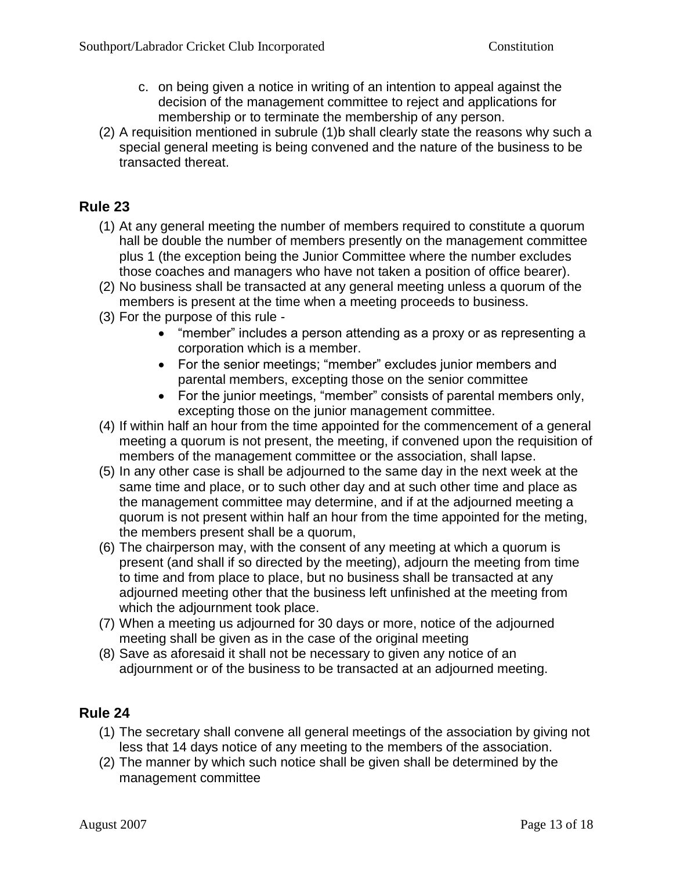- c. on being given a notice in writing of an intention to appeal against the decision of the management committee to reject and applications for membership or to terminate the membership of any person.
- (2) A requisition mentioned in subrule (1)b shall clearly state the reasons why such a special general meeting is being convened and the nature of the business to be transacted thereat.

- (1) At any general meeting the number of members required to constitute a quorum hall be double the number of members presently on the management committee plus 1 (the exception being the Junior Committee where the number excludes those coaches and managers who have not taken a position of office bearer).
- (2) No business shall be transacted at any general meeting unless a quorum of the members is present at the time when a meeting proceeds to business.
- (3) For the purpose of this rule
	- "member" includes a person attending as a proxy or as representing a corporation which is a member.
	- For the senior meetings; "member" excludes junior members and parental members, excepting those on the senior committee
	- For the junior meetings, "member" consists of parental members only, excepting those on the junior management committee.
- (4) If within half an hour from the time appointed for the commencement of a general meeting a quorum is not present, the meeting, if convened upon the requisition of members of the management committee or the association, shall lapse.
- (5) In any other case is shall be adjourned to the same day in the next week at the same time and place, or to such other day and at such other time and place as the management committee may determine, and if at the adjourned meeting a quorum is not present within half an hour from the time appointed for the meting, the members present shall be a quorum,
- (6) The chairperson may, with the consent of any meeting at which a quorum is present (and shall if so directed by the meeting), adjourn the meeting from time to time and from place to place, but no business shall be transacted at any adjourned meeting other that the business left unfinished at the meeting from which the adjournment took place.
- (7) When a meeting us adjourned for 30 days or more, notice of the adjourned meeting shall be given as in the case of the original meeting
- (8) Save as aforesaid it shall not be necessary to given any notice of an adjournment or of the business to be transacted at an adjourned meeting.

- (1) The secretary shall convene all general meetings of the association by giving not less that 14 days notice of any meeting to the members of the association.
- (2) The manner by which such notice shall be given shall be determined by the management committee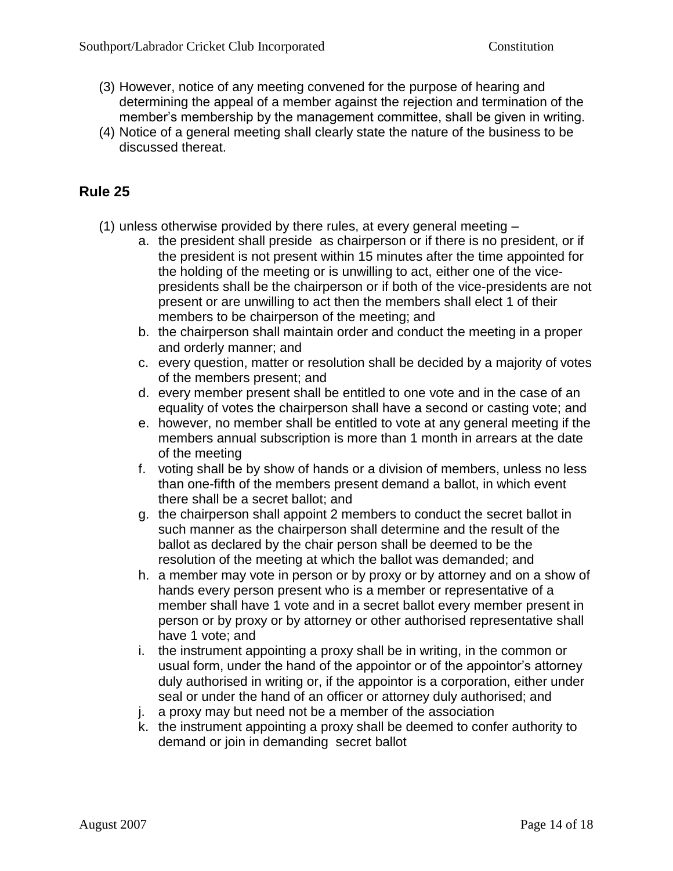- (3) However, notice of any meeting convened for the purpose of hearing and determining the appeal of a member against the rejection and termination of the member's membership by the management committee, shall be given in writing.
- (4) Notice of a general meeting shall clearly state the nature of the business to be discussed thereat.

- (1) unless otherwise provided by there rules, at every general meeting
	- a. the president shall preside as chairperson or if there is no president, or if the president is not present within 15 minutes after the time appointed for the holding of the meeting or is unwilling to act, either one of the vicepresidents shall be the chairperson or if both of the vice-presidents are not present or are unwilling to act then the members shall elect 1 of their members to be chairperson of the meeting; and
	- b. the chairperson shall maintain order and conduct the meeting in a proper and orderly manner; and
	- c. every question, matter or resolution shall be decided by a majority of votes of the members present; and
	- d. every member present shall be entitled to one vote and in the case of an equality of votes the chairperson shall have a second or casting vote; and
	- e. however, no member shall be entitled to vote at any general meeting if the members annual subscription is more than 1 month in arrears at the date of the meeting
	- f. voting shall be by show of hands or a division of members, unless no less than one-fifth of the members present demand a ballot, in which event there shall be a secret ballot; and
	- g. the chairperson shall appoint 2 members to conduct the secret ballot in such manner as the chairperson shall determine and the result of the ballot as declared by the chair person shall be deemed to be the resolution of the meeting at which the ballot was demanded; and
	- h. a member may vote in person or by proxy or by attorney and on a show of hands every person present who is a member or representative of a member shall have 1 vote and in a secret ballot every member present in person or by proxy or by attorney or other authorised representative shall have 1 vote; and
	- i. the instrument appointing a proxy shall be in writing, in the common or usual form, under the hand of the appointor or of the appointor's attorney duly authorised in writing or, if the appointor is a corporation, either under seal or under the hand of an officer or attorney duly authorised; and
	- j. a proxy may but need not be a member of the association
	- k. the instrument appointing a proxy shall be deemed to confer authority to demand or join in demanding secret ballot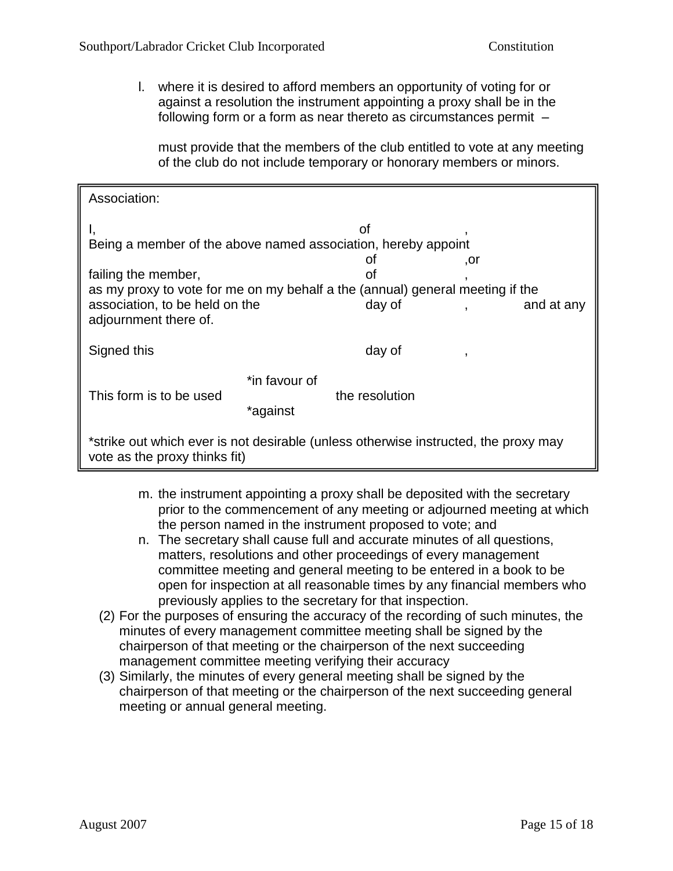l. where it is desired to afford members an opportunity of voting for or against a resolution the instrument appointing a proxy shall be in the following form or a form as near thereto as circumstances permit –

must provide that the members of the club entitled to vote at any meeting of the club do not include temporary or honorary members or minors.

| Association:                                                                                                                                                    |                           |                    |     |            |
|-----------------------------------------------------------------------------------------------------------------------------------------------------------------|---------------------------|--------------------|-----|------------|
| οf<br>Being a member of the above named association, hereby appoint                                                                                             |                           |                    |     |            |
| failing the member,<br>as my proxy to vote for me on my behalf a the (annual) general meeting if the<br>association, to be held on the<br>adjournment there of. |                           | οt<br>οf<br>day of | ,or | and at any |
| Signed this                                                                                                                                                     |                           | day of             |     |            |
| This form is to be used                                                                                                                                         | *in favour of<br>*against | the resolution     |     |            |
| *strike out which ever is not desirable (unless otherwise instructed, the proxy may<br>vote as the proxy thinks fit)                                            |                           |                    |     |            |

- m. the instrument appointing a proxy shall be deposited with the secretary prior to the commencement of any meeting or adjourned meeting at which the person named in the instrument proposed to vote; and
- n. The secretary shall cause full and accurate minutes of all questions, matters, resolutions and other proceedings of every management committee meeting and general meeting to be entered in a book to be open for inspection at all reasonable times by any financial members who previously applies to the secretary for that inspection.
- (2) For the purposes of ensuring the accuracy of the recording of such minutes, the minutes of every management committee meeting shall be signed by the chairperson of that meeting or the chairperson of the next succeeding management committee meeting verifying their accuracy
- (3) Similarly, the minutes of every general meeting shall be signed by the chairperson of that meeting or the chairperson of the next succeeding general meeting or annual general meeting.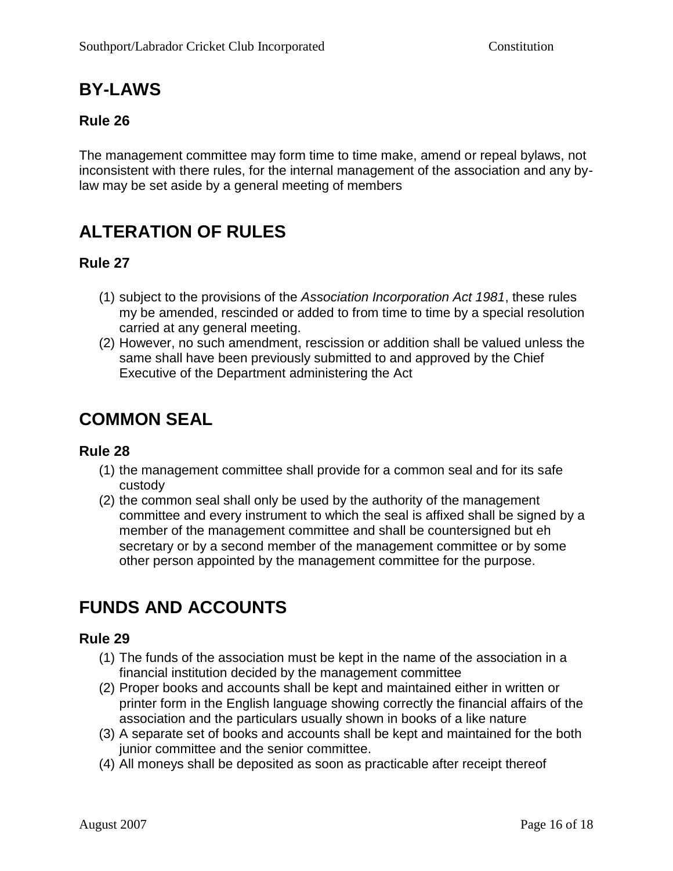# **BY-LAWS**

### **Rule 26**

The management committee may form time to time make, amend or repeal bylaws, not inconsistent with there rules, for the internal management of the association and any bylaw may be set aside by a general meeting of members

# **ALTERATION OF RULES**

### **Rule 27**

- (1) subject to the provisions of the *Association Incorporation Act 1981*, these rules my be amended, rescinded or added to from time to time by a special resolution carried at any general meeting.
- (2) However, no such amendment, rescission or addition shall be valued unless the same shall have been previously submitted to and approved by the Chief Executive of the Department administering the Act

### **COMMON SEAL**

#### **Rule 28**

- (1) the management committee shall provide for a common seal and for its safe custody
- (2) the common seal shall only be used by the authority of the management committee and every instrument to which the seal is affixed shall be signed by a member of the management committee and shall be countersigned but eh secretary or by a second member of the management committee or by some other person appointed by the management committee for the purpose.

# **FUNDS AND ACCOUNTS**

- (1) The funds of the association must be kept in the name of the association in a financial institution decided by the management committee
- (2) Proper books and accounts shall be kept and maintained either in written or printer form in the English language showing correctly the financial affairs of the association and the particulars usually shown in books of a like nature
- (3) A separate set of books and accounts shall be kept and maintained for the both junior committee and the senior committee.
- (4) All moneys shall be deposited as soon as practicable after receipt thereof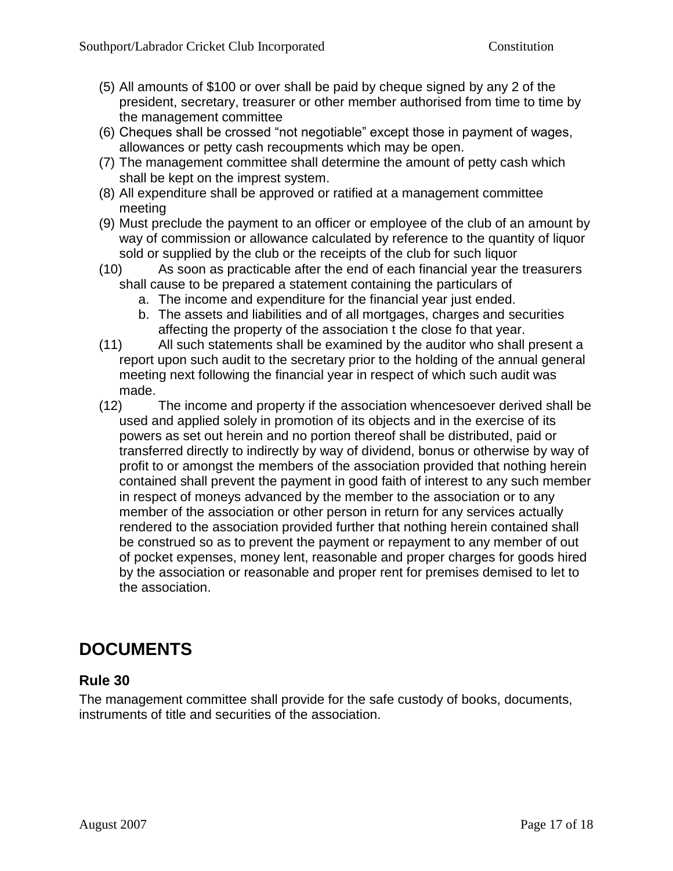- (5) All amounts of \$100 or over shall be paid by cheque signed by any 2 of the president, secretary, treasurer or other member authorised from time to time by the management committee
- (6) Cheques shall be crossed "not negotiable" except those in payment of wages, allowances or petty cash recoupments which may be open.
- (7) The management committee shall determine the amount of petty cash which shall be kept on the imprest system.
- (8) All expenditure shall be approved or ratified at a management committee meeting
- (9) Must preclude the payment to an officer or employee of the club of an amount by way of commission or allowance calculated by reference to the quantity of liquor sold or supplied by the club or the receipts of the club for such liquor
- (10) As soon as practicable after the end of each financial year the treasurers shall cause to be prepared a statement containing the particulars of
	- a. The income and expenditure for the financial year just ended.
	- b. The assets and liabilities and of all mortgages, charges and securities affecting the property of the association t the close fo that year.
- (11) All such statements shall be examined by the auditor who shall present a report upon such audit to the secretary prior to the holding of the annual general meeting next following the financial year in respect of which such audit was made.
- (12) The income and property if the association whencesoever derived shall be used and applied solely in promotion of its objects and in the exercise of its powers as set out herein and no portion thereof shall be distributed, paid or transferred directly to indirectly by way of dividend, bonus or otherwise by way of profit to or amongst the members of the association provided that nothing herein contained shall prevent the payment in good faith of interest to any such member in respect of moneys advanced by the member to the association or to any member of the association or other person in return for any services actually rendered to the association provided further that nothing herein contained shall be construed so as to prevent the payment or repayment to any member of out of pocket expenses, money lent, reasonable and proper charges for goods hired by the association or reasonable and proper rent for premises demised to let to the association.

# **DOCUMENTS**

### **Rule 30**

The management committee shall provide for the safe custody of books, documents, instruments of title and securities of the association.